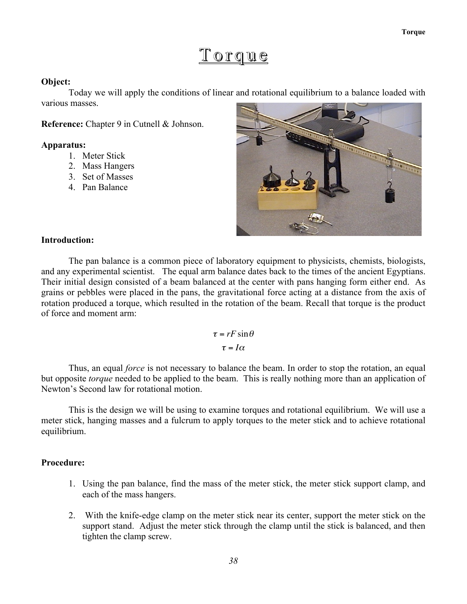# Torque

# Object:

Today we will apply the conditions of linear and rotational equilibrium to a balance loaded with various masses.

Reference: Chapter 9 in Cutnell & Johnson.

#### Apparatus:

- 1. Meter Stick
- 2. Mass Hangers
- 3. Set of Masses
- 4. Pan Balance



# Introduction:

The pan balance is a common piece of laboratory equipment to physicists, chemists, biologists, and any experimental scientist. The equal arm balance dates back to the times of the ancient Egyptians. Their initial design consisted of a beam balanced at the center with pans hanging form either end. As grains or pebbles were placed in the pans, the gravitational force acting at a distance from the axis of rotation produced a torque, which resulted in the rotation of the beam. Recall that torque is the product of force and moment arm:

> $\tau = rF \sin \theta$  $\tau = I\alpha$

Newton's Second law for rotational motion. Thus, an equal *force* is not necessary to balance the beam. In order to stop the rotation, an equal but opposite *torque* needed to be applied to the beam. This is really nothing more than an application of

This is the design we will be using to examine torques and rotational equilibrium. We will use a meter stick, hanging masses and a fulcrum to apply torques to the meter stick and to achieve rotational equilibrium.

## Procedure:

- 1. Using the pan balance, find the mass of the meter stick, the meter stick support clamp, and each of the mass hangers.
- 2. With the knife-edge clamp on the meter stick near its center, support the meter stick on the support stand. Adjust the meter stick through the clamp until the stick is balanced, and then tighten the clamp screw.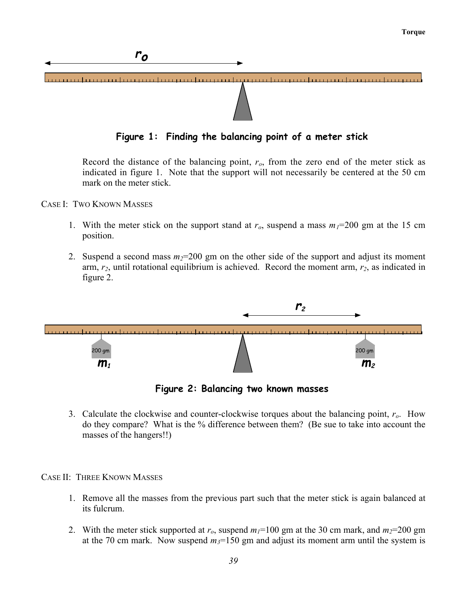

Record the distance of the balancing point, *ro*, from the zero end of the meter stick as indicated in figure 1. Note that the support will not necessarily be centered at the 50 cm mark on the meter stick.

- CASE I: TWO KNOWN MASSES
	- 1. With the meter stick on the support stand at  $r_o$ , suspend a mass  $m_l = 200$  gm at the 15 cm position.
	- 2. Suspend a second mass  $m_2=200$  gm on the other side of the support and adjust its moment arm, *r2*, until rotational equilibrium is achieved. Record the moment arm, *r2*, as indicated in figure 2.



**Figure 2: Balancing two known masses**

3. Calculate the clockwise and counter-clockwise torques about the balancing point, *ro*. How do they compare? What is the % difference between them? (Be sue to take into account the masses of the hangers!!)

CASE II: THREE KNOWN MASSES

- 1. Remove all the masses from the previous part such that the meter stick is again balanced at its fulcrum.
- 2. With the meter stick supported at  $r_o$ , suspend  $m_l$ =100 gm at the 30 cm mark, and  $m_l$ =200 gm at the 70 cm mark. Now suspend  $m<sub>3</sub>=150$  gm and adjust its moment arm until the system is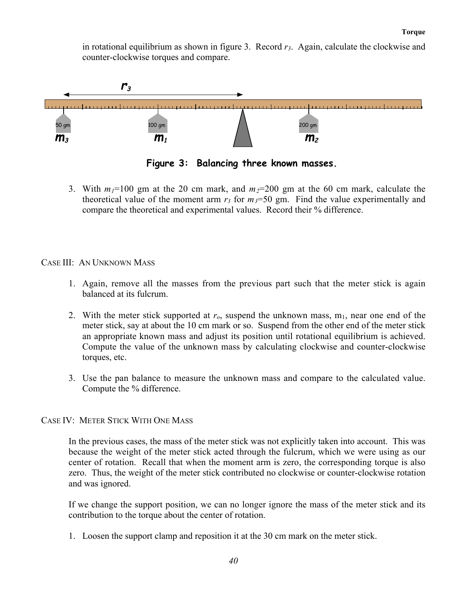in rotational equilibrium as shown in figure 3. Record *r3*. Again, calculate the clockwise and counter-clockwise torques and compare.



**Figure 3: Balancing three known masses.**

3. With  $m_1=100$  gm at the 20 cm mark, and  $m_2=200$  gm at the 60 cm mark, calculate the theoretical value of the moment arm  $r_3$  for  $m_3=50$  gm. Find the value experimentally and compare the theoretical and experimental values. Record their % difference.

CASE III: AN UNKNOWN MASS

- 1. Again, remove all the masses from the previous part such that the meter stick is again balanced at its fulcrum.
- 2. With the meter stick supported at  $r<sub>o</sub>$ , suspend the unknown mass,  $m<sub>1</sub>$ , near one end of the meter stick, say at about the 10 cm mark or so. Suspend from the other end of the meter stick an appropriate known mass and adjust its position until rotational equilibrium is achieved. Compute the value of the unknown mass by calculating clockwise and counter-clockwise torques, etc.
- 3. Use the pan balance to measure the unknown mass and compare to the calculated value. Compute the % difference.

CASE IV: METER STICK WITH ONE MASS

In the previous cases, the mass of the meter stick was not explicitly taken into account. This was because the weight of the meter stick acted through the fulcrum, which we were using as our center of rotation. Recall that when the moment arm is zero, the corresponding torque is also zero. Thus, the weight of the meter stick contributed no clockwise or counter-clockwise rotation and was ignored.

If we change the support position, we can no longer ignore the mass of the meter stick and its contribution to the torque about the center of rotation.

1. Loosen the support clamp and reposition it at the 30 cm mark on the meter stick.